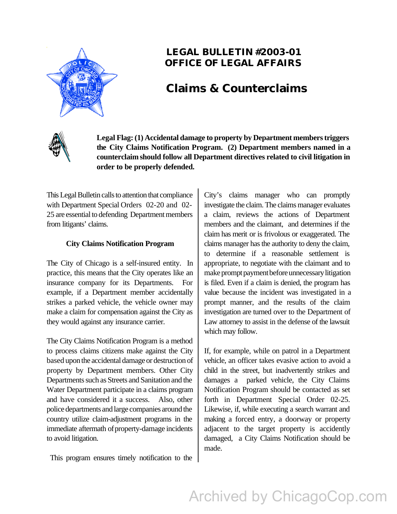

### **LEGAL BULLETIN #2003-01 OFFICE OF LEGAL AFFAIRS**

## **Claims & Counterclaims**



**Legal Flag: (1) Accidental damage to property by Department members triggers the City Claims Notification Program. (2) Department members named in a counterclaim should follow all Department directives related to civil litigation in order to be properly defended.**

This Legal Bulletin calls to attention that compliance with Department Special Orders 02-20 and 02- 25 are essential to defending Department members from litigants' claims.

#### **City Claims Notification Program**

The City of Chicago is a self-insured entity. In practice, this means that the City operates like an insurance company for its Departments. For example, if a Department member accidentally strikes a parked vehicle, the vehicle owner may make a claim for compensation against the City as they would against any insurance carrier.

The City Claims Notification Program is a method to process claims citizens make against the City based upon the accidental damage or destruction of property by Department members. Other City Departments such as Streets and Sanitation and the Water Department participate in a claims program and have considered it a success. Also, other police departments and large companies around the country utilize claim-adjustment programs in the immediate aftermath of property-damage incidents to avoid litigation.

This program ensures timely notification to the

City's claims manager who can promptly investigate the claim. The claims manager evaluates a claim, reviews the actions of Department members and the claimant, and determines if the claim has merit or is frivolous or exaggerated. The claims manager has the authority to deny the claim, to determine if a reasonable settlement is appropriate, to negotiate with the claimant and to make prompt payment before unnecessary litigation is filed. Even if a claim is denied, the program has value because the incident was investigated in a prompt manner, and the results of the claim investigation are turned over to the Department of Law attorney to assist in the defense of the lawsuit which may follow.

If, for example, while on patrol in a Department vehicle, an officer takes evasive action to avoid a child in the street, but inadvertently strikes and damages a parked vehicle, the City Claims Notification Program should be contacted as set forth in Department Special Order 02-25. Likewise, if, while executing a search warrant and making a forced entry, a doorway or property adjacent to the target property is accidently damaged, a City Claims Notification should be made.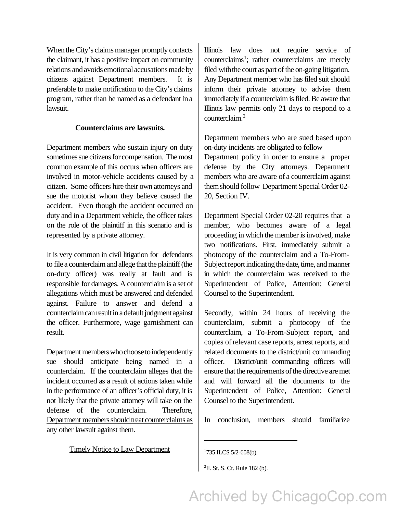When the City's claims manager promptly contacts the claimant, it has a positive impact on community relations and avoids emotional accusations made by citizens against Department members. It is preferable to make notification to the City's claims program, rather than be named as a defendant in a lawsuit.

#### **Counterclaims are lawsuits.**

Department members who sustain injury on duty sometimes sue citizens for compensation. The most common example of this occurs when officers are involved in motor-vehicle accidents caused by a citizen. Some officers hire their own attorneys and sue the motorist whom they believe caused the accident. Even though the accident occurred on duty and in a Department vehicle, the officer takes on the role of the plaintiff in this scenario and is represented by a private attorney.

It is very common in civil litigation for defendants to file a counterclaim and allege that the plaintiff (the on-duty officer) was really at fault and is responsible for damages. A counterclaim is a set of allegations which must be answered and defended against. Failure to answer and defend a counterclaim can result in a default judgment against the officer. Furthermore, wage garnishment can result.

Department members who choose to independently sue should anticipate being named in a counterclaim. If the counterclaim alleges that the incident occurred as a result of actions taken while in the performance of an officer's official duty, it is not likely that the private attorney will take on the defense of the counterclaim. Therefore, Department members should treat counterclaims as any other lawsuit against them.

Illinois law does not require service of counterclaims<sup>1</sup>; rather counterclaims are merely filed with the court as part of the on-going litigation. Any Department member who has filed suit should inform their private attorney to advise them immediately if a counterclaim is filed. Be aware that Illinois law permits only 21 days to respond to a counterclaim.<sup>2</sup>

Department members who are sued based upon on-duty incidents are obligated to follow

Department policy in order to ensure a proper defense by the City attorneys. Department members who are aware of a counterclaim against them should follow Department Special Order 02- 20, Section IV.

Department Special Order 02-20 requires that a member, who becomes aware of a legal proceeding in which the member is involved, make two notifications. First, immediately submit a photocopy of the counterclaim and a To-From-Subject report indicating the date, time, and manner in which the counterclaim was received to the Superintendent of Police, Attention: General Counsel to the Superintendent.

Secondly, within 24 hours of receiving the counterclaim, submit a photocopy of the counterclaim, a To-From-Subject report, and copies of relevant case reports, arrest reports, and related documents to the district/unit commanding officer. District/unit commanding officers will ensure that the requirements of the directive are met and will forward all the documents to the Superintendent of Police, Attention: General Counsel to the Superintendent.

In conclusion, members should familiarize

Timely Notice to Law Department

<sup>&</sup>lt;sup>1</sup>735 ILCS 5/2-608(b).

<sup>&</sup>lt;sup>2</sup>Il. St. S. Ct. Rule 182 (b).